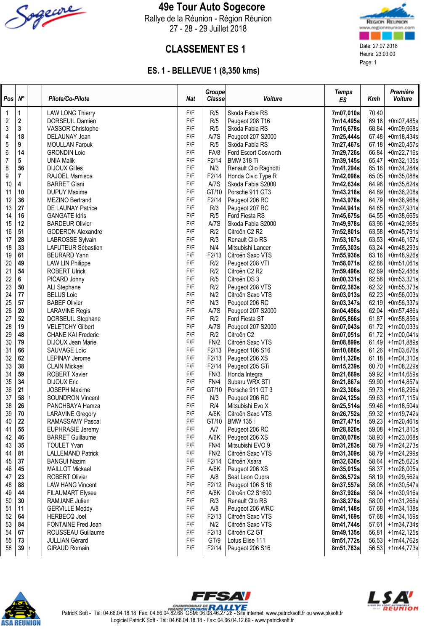

### 49e Tour Auto Sogecore

Rallye de la Réunion - Région Réunion 27 - 28 - 29 Juillet 2018



# **CLASSEMENT ES 1** Date: 27.07.2018

### ES. 1 - BELLEVUE 1 (8,350 kms)

| Pos              | $N^{\circ}$  |   | Pilote/Co-Pilote                           | Nat        | Groupe<br>Classe | Voiture                               | <b>Temps</b><br>ES     | Kmh            | Première<br>Voiture      |
|------------------|--------------|---|--------------------------------------------|------------|------------------|---------------------------------------|------------------------|----------------|--------------------------|
| $\mathbf{1}$     | 1            |   | <b>LAW LONG Thierry</b>                    | F/F        | R/5              | Skoda Fabia RS                        | 7m07,010s              | 70,40          |                          |
| $\sqrt{2}$       | $\mathbf 2$  |   | DORSEUIL Damien                            | F/F        | R/5              | Peugeot 208 T16                       | 7m14,495s              | 69,18          | +0m07,485s               |
| $\sqrt{3}$       | $\mathbf{3}$ |   | <b>VASSOR Christophe</b>                   | F/F        | R/5              | Skoda Fabia RS                        | 7m16,678s              | 68,84          | +0m09,668s               |
| 4                | 18           |   | DELAUNAY Jean                              | F/F        | A/7S             | Peugeot 207 S2000                     | 7m25,444s              | 67,48          | +0m18,434s               |
| $\sqrt{5}$       | 9            |   | <b>MOULLAN Farouk</b>                      | F/F        | R/5              | Skoda Fabia RS                        | 7m27,467s              | 67,18          | +0m20,457s               |
| $\boldsymbol{6}$ | 14           |   | <b>GRONDIN Loic</b>                        | F/F        | FA/8             | Ford Escort Cosworth                  | 7m29,726s              | 66,84          | $+0m22,716s$             |
| $\overline{7}$   | 5            |   | <b>UNIA Malik</b>                          | F/F        | F2/14            | <b>BMW 318 Ti</b>                     | 7m39,145s              | 65,47          | $+0m32,135s$             |
| 8                | 56           |   | <b>DIJOUX Gilles</b>                       | F/F        | N/3              | Renault Clio Ragnotti                 | 7m41,294s              | 65,16          | +0m34,284s               |
| 9                | 7            |   | RAJOEL Mamisoa                             | F/F        | F2/14            | Honda Civic Type R                    | 7m42,098s              | 65,05          | +0m35,088s               |
| 10               | 4            |   | <b>BARRET Giani</b>                        | F/F        | A/7S             | Skoda Fabia S2000                     | 7m42,634s              | 64,98          | $+0m35,624s$             |
| 11               | 10           |   | <b>DUPUY Maxime</b>                        | F/F        | GT/10            | Porsche 911 GT3                       | 7m43,218s              | 64,89          | +0m36,208s               |
| 12               | 36           |   | MEZINO Bertrand                            | F/F        | F2/14            | Peugeot 206 RC                        | 7m43,978s              | 64,79          | +0m36,968s               |
| 13               | 27           |   | DE LAUNAY Patrice                          | F/F        | R/3              | Peugeot 207 RC                        | 7m44,941s              | 64,65          | $+0m37,931s$             |
| 14               | 16           |   | <b>GANGATE Idris</b>                       | F/F        | R/5              | Ford Fiesta RS                        | 7m45,675s              | 64,55          | +0m38,665s               |
| 15               | 12           |   | <b>BARDEUR Olivier</b>                     | F/F        | A/7S             | Skoda Fabia S2000                     | 7m49,978s              | 63,96          | +0m42,968s               |
| 16               | 51           |   | <b>GODERON Alexandre</b>                   | F/F        | R/2              | Citroën C2 R2                         | 7m52,801s              | 63,58          | +0m45,791s               |
| 17               | 28           |   | LABROSSE Sylvain                           | F/F        | R/3              | Renault Clio RS                       | 7m53,167s              | 63,53          | $+0m46,157s$             |
| 18               | 33           |   | LAFUTEUR Sébastien                         | F/F        | N/4              | Mitsubishi Lancer                     | 7m55,303s              | 63,24          | +0m48,293s               |
| 19               | 61           |   | <b>BEURARD Yann</b>                        | F/F        | F2/13            | Citroën Saxo VTS                      | 7m55,936s              | 63,16          | +0m48,926s               |
| 20               | 49           |   | <b>LAW LIN Philippe</b>                    | F/F        | R/2              | Peugeot 208 VTI                       | 7m58,071s              | 62,88          | $+0m51,061s$             |
| 21               | 54           |   | <b>ROBERT Ulrick</b>                       | F/F        | R/2              | Citroën C <sub>2</sub> R <sub>2</sub> | 7m59,496s              | 62,69          | +0m52,486s               |
| 22               | 6            |   | PICARD Johny                               | F/F        | R/5              | Citroën DS 3                          | 8m00,331s              | 62,58          | $+0m53,321s$             |
| 23               | 50           |   | ALI Stephane                               | F/F        | R/2              | Peugeot 208 VTS                       | 8m02,383s              | 62,32          | $+0m55,373s$             |
| 24               | 77           |   | <b>BELUS Loic</b>                          | F/F        | N/2              | Citroën Saxo VTS                      | 8m03,013s              | 62,23          | +0m56,003s               |
| 25               | 57           |   | <b>BABEF Olivier</b>                       | F/F        | N/3              | Peugeot 206 RC                        | 8m03,347s              | 62,19          | +0m56,337s               |
| 26               | $20\,$       |   | <b>LARAVINE Regis</b>                      | F/F        | A/7S             | Peugeot 207 S2000                     | 8m04,496s              | 62,04          | +0m57,486s               |
| 27               | 52           |   | DORSEUIL Stephane                          | F/F        | R/2              | Ford Fiesta ST                        | 8m05,866s              | 61,87          | +0m58,856s               |
| 28               | 19           |   | <b>VELETCHY Gilbert</b>                    | F/F        | A/7S             | Peugeot 207 S2000                     | 8m07,043s              | 61,72          | $+1m00,033s$             |
| 29               | 48           |   | <b>CHANE KAI Frederic</b>                  | F/F        | R/2              | Citroën C2                            | 8m07,051s              | 61,72          | $+1m00,041s$             |
| 30               | 79           |   | DIJOUX Jean Marie                          | F/F        | FN/2             | Citroën Saxo VTS                      | 8m08,899s              | 61,49          | +1m01,889s               |
| 31               | 66           |   | SAUVAGE Loïc                               | F/F        | F2/13            | Peugeot 106 S16                       | 8m10,686s              | 61,26          | +1m03,676s               |
| 32               | 62           |   | <b>LEPINAY Jerome</b>                      | F/F        | F2/13            | Peugeot 206 XS                        | 8m11,320s              | 61,18          | +1m04,310s               |
| 33               | 38           |   | <b>CLAIN Mickael</b>                       | F/F        | F2/14            | Peugeot 205 GTi                       | 8m15,239s              | 60,70          | +1m08,229s               |
| 34               | 59           |   | <b>ROBERT Xavier</b><br><b>DIJOUX Eric</b> | F/F<br>F/F | FN/3             | Honda Integra                         | 8m21,669s              | 59,92          | +1m14,659s               |
| 35<br>36         | 34<br>21     |   |                                            | F/F        | FN/4             | Subaru WRX STI                        | 8m21,867s              | 59,90          | +1m14,857s               |
| 37               | 58           | 1 | <b>JOSEPH Maxime</b>                       | F/F        | GT/10            | Porsche 911 GT 3<br>Peugeot 206 RC    | 8m23,306s              | 59,73          | +1m16,296s               |
| 38               | 26           |   | <b>SOUNDRON Vincent</b><br>PANCHBAYA Hamza | F/F        | N/3<br>R/4       | Mitsubishi Evo X                      | 8m24,125s              | 59,63<br>59,46 | +1m17,115s               |
| 39               | 70           |   | <b>LARAVINE Gregory</b>                    | F/F        | A/6K             | Citroën Saxo VTS                      | 8m25,514s<br>8m26,752s | 59,32          | +1m18,504s<br>+1m19,742s |
| 40               | ${\bf 22}$   |   | RAMASSAMY Pascal                           | F/F        | GT/10            | <b>BMW 135 i</b>                      | 8m27,471s              | 59,23          | $+1m20,461s$             |
| 41               | 55           |   | EUPHRASIE Jeremy                           | F/F        | A/7              | Peugeot 206 RC                        | 8m28,820s              | 59,08          | +1m21,810s               |
| 42               | 46           |   | <b>BARRET Guillaume</b>                    | F/F        | A/6K             | Peugeot 206 XS                        | 8m30,078s              | 58,93          | +1m23,068s               |
| 43               | 35           |   | <b>TOULET Yvan</b>                         | F/F        | FN/4             | Mitsubishi EVO 9                      | 8m31,283s              | 58,79          | +1m24,273s               |
| 44               | 81           |   | <b>LALLEMAND Patrick</b>                   | F/F        | FN/2             | Citroën Saxo VTS                      | 8m31,309s              | 58,79          | +1m24,299s               |
| 45               | 37           |   | <b>BANGUI Nazim</b>                        | F/F        | F2/14            | Citroën Xsara                         | 8m32,630s              | 58,64          | +1m25,620s               |
| 46               | 45           |   | <b>MAILLOT Mickael</b>                     | F/F        | A/6K             | Peugeot 206 XS                        | 8m35,015s              | 58,37          | +1m28,005s               |
| 47               | 23           |   | ROBERT Olivier                             | F/F        | A/8              | Seat Leon Cupra                       | 8m36,572s              | 58,19          | +1m29,562s               |
| 48               | 88           |   | <b>LAW HANG Vincent</b>                    | F/F        | F2/12            | Peugeot 106 S 16                      | 8m37,557s              | 58,08          | +1m30,547s               |
| 49               | 44           |   | <b>FILAUMART Elysee</b>                    | F/F        | A/6K             | Citroën C2 S1600                      | 8m37,926s              | 58,04          | +1m30,916s               |
| 50               | 30           |   | RAMJANE Julien                             | F/F        | R/3              | Renault Clio RS                       | 8m38,276s              | 58,00          | +1m31,266s               |
| 51               | 11           |   | <b>GERVILLE Meddy</b>                      | F/F        | A/8              | Peugeot 206 WRC                       | 8m41,148s              | 57,68          | $+1m34,138s$             |
| 52               | 64           |   | <b>HERBECQ Joel</b>                        | F/F        | F2/13            | Citroën Saxo VTS                      | 8m41,169s              | 57,68          | +1m34,159s               |
| 53               | 84           |   | FONTAINE Fred Jean                         | F/F        | N/2              | Citroën Saxo VTS                      | 8m41,744s              | 57,61          | +1m34,734s               |
| 54               | 67           |   | ROUSSEAU Guillaume                         | F/F        | F2/13            | Citroën C2 GT                         | 8m49,135s              | 56,81          | +1m42,125s               |
| 55               | 73           |   | <b>JULLIAN Gérard</b>                      | F/F        | GT/9             | Lotus Elise 111                       | 8m51,772s              | 56,53          | +1m44,762s               |
| 56               | 39           | 1 | <b>GIRAUD Romain</b>                       | F/F        | F2/14            | Peugeot 206 S16                       | 8m51,783s              | 56,53          | +1m44,773s               |





PatricK Soft - Tél: 04.66.04.18.18 Fax: 04.66.04.82.68 GSM: 06.08.46.27.28 - Site internet: www.patricksoft.fr ou www.pksoft.fr Logiciel PatricK Soft - Tél: 04.66.04.18.18 - Fax: 04.66.04.12.69 - www.patricksoft.fr

FFSAV